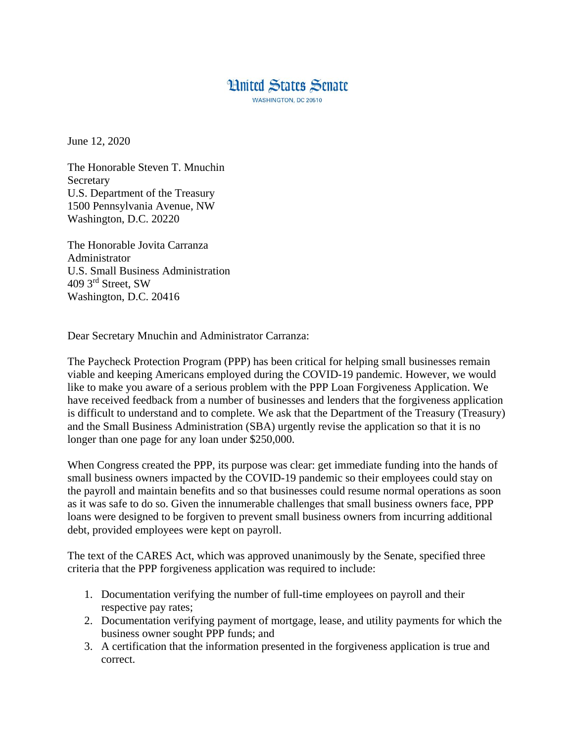## **Hnited States Senate WASHINGTON, DC 20510**

June 12, 2020

The Honorable Steven T. Mnuchin Secretary U.S. Department of the Treasury 1500 Pennsylvania Avenue, NW Washington, D.C. 20220

The Honorable Jovita Carranza Administrator U.S. Small Business Administration 409 3rd Street, SW Washington, D.C. 20416

Dear Secretary Mnuchin and Administrator Carranza:

The Paycheck Protection Program (PPP) has been critical for helping small businesses remain viable and keeping Americans employed during the COVID-19 pandemic. However, we would like to make you aware of a serious problem with the PPP Loan Forgiveness Application. We have received feedback from a number of businesses and lenders that the forgiveness application is difficult to understand and to complete. We ask that the Department of the Treasury (Treasury) and the Small Business Administration (SBA) urgently revise the application so that it is no longer than one page for any loan under \$250,000.

When Congress created the PPP, its purpose was clear: get immediate funding into the hands of small business owners impacted by the COVID-19 pandemic so their employees could stay on the payroll and maintain benefits and so that businesses could resume normal operations as soon as it was safe to do so. Given the innumerable challenges that small business owners face, PPP loans were designed to be forgiven to prevent small business owners from incurring additional debt, provided employees were kept on payroll.

The text of the CARES Act, which was approved unanimously by the Senate, specified three criteria that the PPP forgiveness application was required to include:

- 1. Documentation verifying the number of full-time employees on payroll and their respective pay rates;
- 2. Documentation verifying payment of mortgage, lease, and utility payments for which the business owner sought PPP funds; and
- 3. A certification that the information presented in the forgiveness application is true and correct.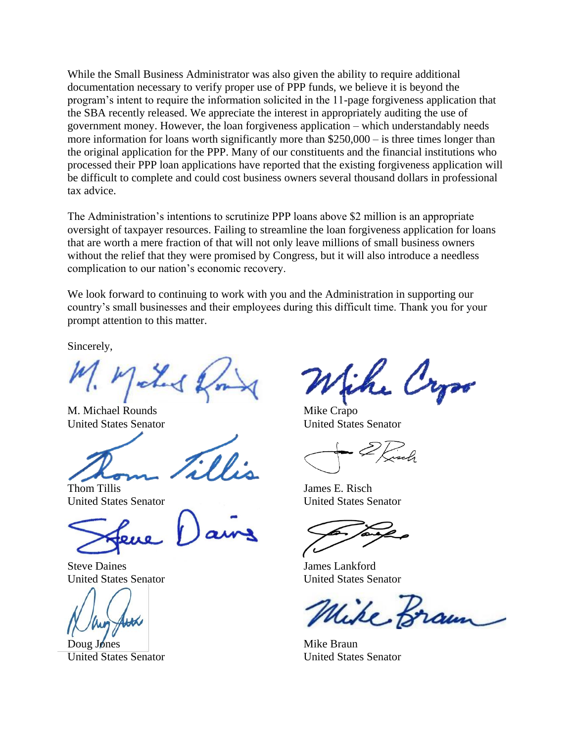While the Small Business Administrator was also given the ability to require additional documentation necessary to verify proper use of PPP funds, we believe it is beyond the program's intent to require the information solicited in the 11-page forgiveness application that the SBA recently released. We appreciate the interest in appropriately auditing the use of government money. However, the loan forgiveness application – which understandably needs more information for loans worth significantly more than \$250,000 – is three times longer than the original application for the PPP. Many of our constituents and the financial institutions who processed their PPP loan applications have reported that the existing forgiveness application will be difficult to complete and could cost business owners several thousand dollars in professional tax advice.

The Administration's intentions to scrutinize PPP loans above \$2 million is an appropriate oversight of taxpayer resources. Failing to streamline the loan forgiveness application for loans that are worth a mere fraction of that will not only leave millions of small business owners without the relief that they were promised by Congress, but it will also introduce a needless complication to our nation's economic recovery.

We look forward to continuing to work with you and the Administration in supporting our country's small businesses and their employees during this difficult time. Thank you for your prompt attention to this matter.

Sincerely,

Taked

M. Michael Rounds United States Senator

Thom Tillis United States Senator

Steve Daines United States Senator

Doug Jones United States Senator

the Cryso

Mike Crapo United States Senator

James E. Risch United States Senator

James Lankford United States Senator

ike Braun

Mike Braun United States Senator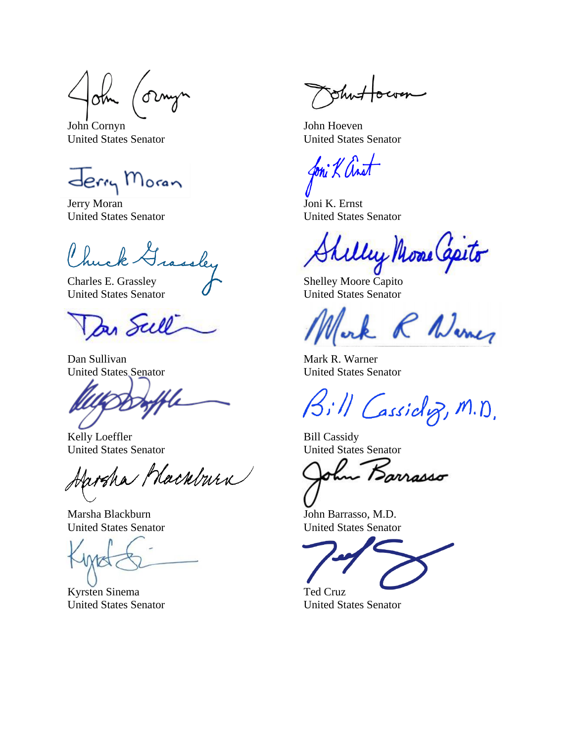lotn

John Cornyn United States Senator

Jerry Moran

Jerry Moran United States Senator

rassley

Charles E. Grassley United States Senator

Der Scell

Dan Sullivan United States Senator

Kelly Loeffler United States Senator

Jarsha Mackburn

Marsha Blackburn United States Senator

Kyrsten Sinema United States Senator

**Shi** 

John Hoeven United States Senator

foni K ant

Joni K. Ernst United States Senator

Welly Mone Capito

Shelley Moore Capito United States Senator

& R Nomes

Mark R. Warner United States Senator

Bill Cassidoz, M.D.

Bill Cassidy United States Senator

hu Barrasso

John Barrasso, M.D. United States Senator

Ted Cruz United States Senator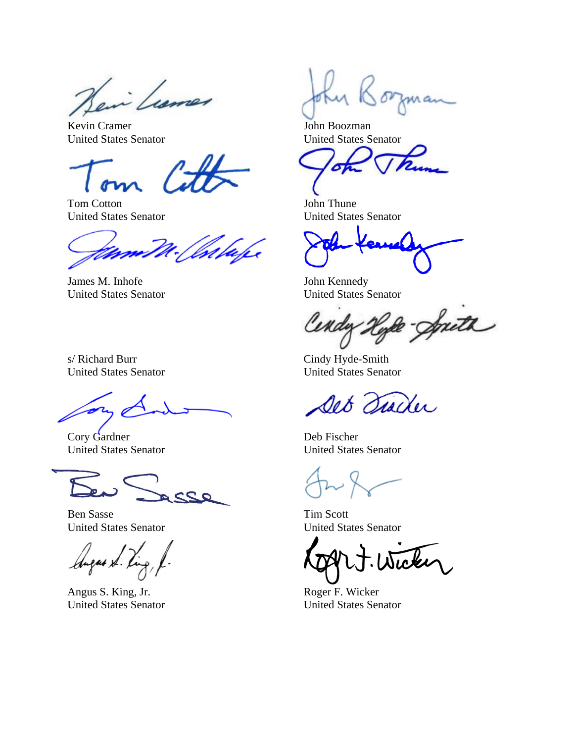en Lumer

Kevin Cramer United States Senator

Tom Cotton United States Senator

James M. Inhofe United States Senator

s/ Richard Burr United States Senator

Cory Gardner United States Senator

 $22$ 

Ben Sasse United States Senator

gus xl. p

Angus S. King, Jr. United States Senator

orman

John Boozman United States Senator

John Thune United States Senator

John Kennedy United States Senator

Ineth

Cindy Hyde-Smith United States Senator

Det Trader

Deb Fischer United States Senator

Tim Scott United States Senator

Roger F. Wicker United States Senator